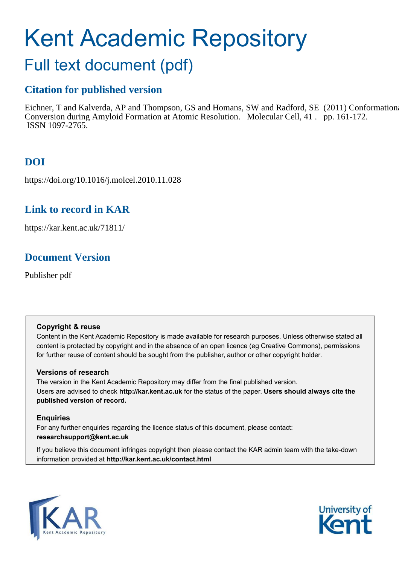# <span id="page-0-0"></span>Kent Academic Repository

# Full text document (pdf)

# **Citation for published version**

Eichner, T and Kalverda, AP and Thompson, GS and Homans, SW and Radford, SE (2011) Conformational Conversion during Amyloid Formation at Atomic Resolution. Molecular Cell, 41 . pp. 161-172. ISSN 1097-2765.

# **DOI**

https://doi.org/10.1016/j.molcel.2010.11.028

## **Link to record in KAR**

https://kar.kent.ac.uk/71811/

## **Document Version**

Publisher pdf

#### **Copyright & reuse**

Content in the Kent Academic Repository is made available for research purposes. Unless otherwise stated all content is protected by copyright and in the absence of an open licence (eg Creative Commons), permissions for further reuse of content should be sought from the publisher, author or other copyright holder.

#### **Versions of research**

The version in the Kent Academic Repository may differ from the final published version. Users are advised to check **http://kar.kent.ac.uk** for the status of the paper. **Users should always cite the published version of record.**

#### **Enquiries**

For any further enquiries regarding the licence status of this document, please contact: **researchsupport@kent.ac.uk**

If you believe this document infringes copyright then please contact the KAR admin team with the take-down information provided at **http://kar.kent.ac.uk/contact.html**



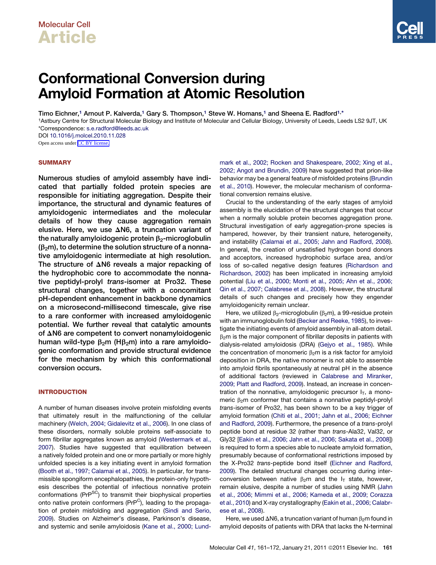# <span id="page-1-0"></span>Conformational Conversion during Amyloid Formation at Atomic Resolution

Timo Eichner,<sup>[1](#page-0-0)</sup> Arnout P. Kalverda,<sup>1</sup> Gary S. Thompson,<sup>1</sup> Steve W. Homans,<sup>1</sup> and Sheena E. Radford<sup>[1,](#page-0-0)[\\*](#page-0-0)</sup>

<sup>1</sup>Astbury Centre for Structural Molecular Biology and Institute of Molecular and Cellular Biology, University of Leeds, Leeds LS2 9JT, UK \*Correspondence: [s.e.radford@leeds.ac.uk](mailto:s.e.radford@leeds.ac.uk)

DOI [10.1016/j.molcel.2010.11.028](http://dx.doi.org/10.1016/j.molcel.2010.11.028)

Open access under [CC BY license.](http://creativecommons.org/licenses/by/3.0/)

#### **SUMMARY**

Numerous studies of amyloid assembly have indicated that partially folded protein species are responsible for initiating aggregation. Despite their importance, the structural and dynamic features of amyloidogenic intermediates and the molecular details of how they cause aggregation remain elusive. Here, we use  $\Delta$ N6, a truncation variant of the naturally amyloidogenic protein  $\beta_2$ -microglobulin  $(\beta_2m)$ , to determine the solution structure of a nonnative amyloidogenic intermediate at high resolution. The structure of  $\Delta N6$  reveals a major repacking of the hydrophobic core to accommodate the nonnative peptidyl-prolyl trans-isomer at Pro32. These structural changes, together with a concomitant pH-dependent enhancement in backbone dynamics on a microsecond-millisecond timescale, give rise to a rare conformer with increased amyloidogenic potential. We further reveal that catalytic amounts of  $\Delta$ N6 are competent to convert nonamyloidogenic human wild-type  $\beta_2$ m (H $\beta_2$ m) into a rare amyloidogenic conformation and provide structural evidence for the mechanism by which this conformational conversion occurs.

#### **INTRODUCTION**

A number of human diseases involve protein misfolding events that ultimately result in the malfunctioning of the cellular machinery ([Welch, 2004; Gidalevitz et al., 2006](#page-11-0)). In one class of these disorders, normally soluble proteins self-associate to form fibrillar aggregates known as amyloid ([Westermark et al.,](#page-11-0) [2007\)](#page-11-0). Studies have suggested that equilibration between a natively folded protein and one or more partially or more highly unfolded species is a key initiating event in amyloid formation [\(Booth et al., 1997; Calamai et al., 2005](#page-10-0)). In particular, for transmissible spongiform encephalopathies, the protein-only hypothesis describes the potential of infectious nonnative protein conformations (PrP<sup>SC</sup>) to transmit their biophysical properties onto native protein conformers (PrP<sup>C</sup>), leading to the propagation of protein misfolding and aggregation [\(Sindi and Serio,](#page-11-0) [2009\)](#page-11-0). Studies on Alzheimer's disease, Parkinson's disease, and systemic and senile amyloidosis ([Kane et al., 2000; Lund-](#page-11-0) [mark et al., 2002; Rocken and Shakespeare, 2002; Xing et al.,](#page-11-0) [2002; Angot and Brundin, 2009](#page-11-0)) have suggested that prion-like behavior may be a general feature of misfolded proteins ([Brundin](#page-10-0) [et al., 2010\)](#page-10-0). However, the molecular mechanism of conformational conversion remains elusive.

Crucial to the understanding of the early stages of amyloid assembly is the elucidation of the structural changes that occur when a normally soluble protein becomes aggregation prone. Structural investigation of early aggregation-prone species is hampered, however, by their transient nature, heterogeneity, and instability [\(Calamai et al., 2005; Jahn and Radford, 2008\)](#page-10-0). In general, the creation of unsatisfied hydrogen bond donors and acceptors, increased hydrophobic surface area, and/or loss of so-called negative design features ([Richardson and](#page-11-0) [Richardson, 2002](#page-11-0)) has been implicated in increasing amyloid potential [\(Liu et al., 2000; Monti et al., 2005; Ahn et al., 2006;](#page-11-0) [Qin et al., 2007; Calabrese et al., 2008](#page-11-0)). However, the structural details of such changes and precisely how they engender amyloidogenicity remain unclear.

Here, we utilized  $\beta_2$ -microglobulin ( $\beta_2$ m), a 99-residue protein with an immunoglobulin fold ([Becker and Reeke, 1985\)](#page-10-0), to investigate the initiating events of amyloid assembly in all-atom detail.  $\beta_2$ m is the major component of fibrillar deposits in patients with dialysis-related amyloidosis (DRA) [\(Gejyo et al., 1985\)](#page-10-0). While the concentration of monomeric  $\beta_2$ m is a risk factor for amyloid deposition in DRA, the native monomer is not able to assemble into amyloid fibrils spontaneously at neutral pH in the absence of additional factors (reviewed in [Calabrese and Miranker,](#page-10-0) [2009; Platt and Radford, 2009\)](#page-10-0). Instead, an increase in concentration of the nonnative, amyloidogenic precursor  $I_T$ , a monomeric  $\beta_2$ m conformer that contains a nonnative peptidyl-prolyl *trans*-isomer of Pro32, has been shown to be a key trigger of amyloid formation ([Chiti et al., 2001; Jahn et al., 2006; Eichner](#page-10-0) [and Radford, 2009\)](#page-10-0). Furthermore, the presence of a *trans*-prolyl peptide bond at residue 32 (rather than *trans*-Ala32, Val32, or Gly32 [[Eakin et al., 2006; Jahn et al., 2006; Sakata et al., 2008\]](#page-10-0)) is required to form a species able to nucleate amyloid formation, presumably because of conformational restrictions imposed by the X-Pro32 *trans*-peptide bond itself ([Eichner and Radford,](#page-10-0) [2009\)](#page-10-0). The detailed structural changes occurring during interconversion between native  $\beta_2$ m and the  $I_T$  state, however, remain elusive, despite a number of studies using NMR ([Jahn](#page-11-0) [et al., 2006; Mimmi et al., 2006; Kameda et al., 2009; Corazza](#page-11-0) [et al., 2010\)](#page-11-0) and X-ray crystallography [\(Eakin et al., 2006; Calabr](#page-10-0)[ese et al., 2008\)](#page-10-0).

Here, we used  $\Delta$ N6, a truncation variant of human  $\beta_2$ m found in amyloid deposits of patients with DRA that lacks the N-terminal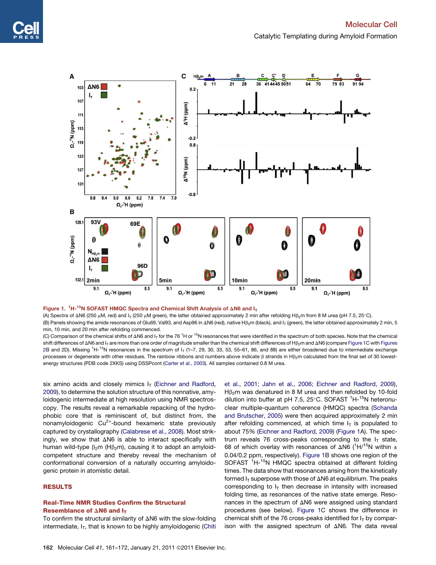<span id="page-2-0"></span>

#### Figure 1.  ${}^{1}$ H-<sup>15</sup>N SOFAST HMQC Spectra and Chemical Shift Analysis of  $\Delta$ N6 and I<sub>T</sub>

(A) Spectra of  $\Delta$ N6 (250 µM, red) and I<sub>T</sub> (250 µM green), the latter obtained approximately 2 min after refolding H $\beta$ <sub>2</sub>m from 8 M urea (pH 7.5, 25°C). (B) Panels showing the amide resonances of Glu69, Val93, and Asp96 in  $\Delta$ N6 (red), native H $\beta_2$ m (black), and I<sub>T</sub> (green), the latter obtained approximately 2 min, 5 min, 10 min, and 20 min after refolding commenced.

(C) Comparison of the chemical shifts of  $\Delta N6$  and I<sub>T</sub> for the 76<sup>1</sup>H or <sup>15</sup>N resonances that were identified in the spectrum of both species. Note that the chemical shift differences of  $\Delta$ N6 and I<sub>T</sub> are more than one order of magnitude smaller than the chemical shift differences of H $\beta$ <sub>2</sub>m and  $\Delta$ N6 (compare [Figure 1](#page-1-0)C with Figures 2B and 2D). Missing  $1H$ -<sup>15</sup>N resonances in the spectrum of  $I_T$  (1–7, 29, 30, 33, 53, 55–61, 86, and 88) are either broadened due to intermediate exchange processes or degenerate with other residues. The rainbow ribbons and numbers above indicate  $\beta$  strands in H $\beta$ <sub>2</sub>m calculated from the final set of 30 lowestenergy structures (PDB code 2XKS) using DSSPcont ([Carter et al., 2003\)](#page-10-0). All samples contained 0.8 M urea.

six amino acids and closely mimics  $I<sub>T</sub>$  ([Eichner and Radford,](#page-10-0) [2009](#page-10-0)), to determine the solution structure of this nonnative, amyloidogenic intermediate at high resolution using NMR spectroscopy. The results reveal a remarkable repacking of the hydrophobic core that is reminiscent of, but distinct from, the nonamyloidogenic  $Cu^{2+}$ -bound hexameric state previously captured by crystallography ([Calabrese et al., 2008\)](#page-10-0). Most strikingly, we show that  $\Delta N6$  is able to interact specifically with human wild-type  $\beta_2$ m (H $\beta_2$ m), causing it to adopt an amyloidcompetent structure and thereby reveal the mechanism of conformational conversion of a naturally occurring amyloidogenic protein in atomistic detail.

#### RESULTS

#### Real-Time NMR Studies Confirm the Structural Resemblance of  $\Delta$ N6 and I<sub>T</sub>

To confirm the structural similarity of  $\Delta N6$  with the slow-folding intermediate,  $I_T$ , that is known to be highly amyloidogenic ([Chiti](#page-10-0)

[et al., 2001; Jahn et al., 2006; Eichner and Radford, 2009](#page-10-0)),  $H\beta_2$ m was denatured in 8 M urea and then refolded by 10-fold dilution into buffer at pH 7.5, 25 $^{\circ}$ C. SOFAST <sup>1</sup>H-<sup>15</sup>N heteronuclear multiple-quantum coherence (HMQC) spectra [\(Schanda](#page-11-0) [and Brutscher, 2005](#page-11-0)) were then acquired approximately 2 min after refolding commenced, at which time  $I<sub>T</sub>$  is populated to about 75% [\(Eichner and Radford, 2009\)](#page-10-0) ([Figure 1A](#page-1-0)). The spectrum reveals 76 cross-peaks corresponding to the  $I_T$  state, 68 of which overlay with resonances of  $\Delta$ N6 ( $^1$ H/ $^{15}$ N within  $\pm$ 0.04/0.2 ppm, respectively). [Figure 1B](#page-1-0) shows one region of the SOFAST <sup>1</sup>H-15N HMQC spectra obtained at different folding times. The data show that resonances arising from the kinetically formed  $I_T$  superpose with those of  $\Delta N6$  at equilibrium. The peaks corresponding to  $I<sub>T</sub>$  then decrease in intensity with increased folding time, as resonances of the native state emerge. Resonances in the spectrum of  $\Delta N6$  were assigned using standard procedures (see below). [Figure 1](#page-1-0)C shows the difference in chemical shift of the 76 cross-peaks identified for  $I<sub>T</sub>$  by comparison with the assigned spectrum of  $\Delta$ N6. The data reveal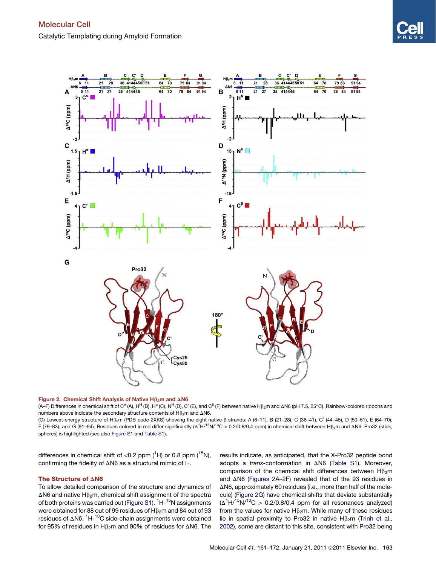<span id="page-3-0"></span>



(A–F) Differences in chemical shift of C<sup>x</sup> (A), H<sup>N</sup> (B), H<sup>x</sup> (C), N<sup>H</sup> (D), C' (E), and C<sup>β</sup> (F) between native Hβ<sub>2</sub>m and ΔN6 (pH 7.5, 25°C). Rainbow-colored ribbons and numbers above indicate the secondary structure contents of  $H\beta_2$ m and  $\Delta$ N6.

(G) Lowest-energy structure of H $\beta_2$ m (PDB code 2XKS) showing the eight native  $\beta$  strands: A (6-11), B (21-28), C (36-41), C' (44-45), D (50-51), E (64-70), F (79–83), and G (91–94). Residues colored in red differ significantly ( $\Delta^1$ H/<sup>15</sup>N/<sup>13</sup>C > 0.2/0.8/0.4 ppm) in chemical shift between H $\beta_2$ m and  $\Delta$ N6. Pro32 (stick, spheres) is highlighted (see also [Figure S1](#page-10-0) and [Table S1\)](#page-10-0).

differences in chemical shift of  $<$ 0.2 ppm  $(^1H)$  or 0.8 ppm  $(^{15}N)$ , confirming the fidelity of  $\Delta N6$  as a structural mimic of  $I_T$ .

#### The Structure of  $\triangle$ N6

To allow detailed comparison of the structure and dynamics of  $\Delta$ N6 and native H $\beta$ <sub>2</sub>m, chemical shift assignment of the spectra of both proteins was carried out ([Figure S1](#page-10-0)). <sup>1</sup>H-<sup>15</sup>N assignments were obtained for 88 out of 99 residues of  $H\beta_2$ m and 84 out of 93 residues of  $\Delta$ N6. <sup>1</sup>H-<sup>13</sup>C side-chain assignments were obtained for 95% of residues in  $H\beta_2$ m and 90% of residues for  $\Delta$ N6. The results indicate, as anticipated, that the X-Pro32 peptide bond adopts a *trans-conformation* in ΔN6 ([Table S1\)](#page-10-0). Moreover, comparison of the chemical shift differences between  $H\beta_2m$ and  $\triangle$ N6 ([Figures 2](#page-2-0)A–2F) revealed that of the 93 residues in  $\Delta$ N6, approximately 60 residues (i.e., more than half of the molecule) ([Figure 2G](#page-2-0)) have chemical shifts that deviate substantially  $(\Delta^1 H^{15} N)^{13}C > 0.2/0.8/0.4$  ppm for all resonances analyzed) from the values for native  $H\beta_2$ m. While many of these residues lie in spatial proximity to Pro32 in native  $H\beta_2$ m ([Trinh et al.,](#page-11-0) [2002\)](#page-11-0), some are distant to this site, consistent with Pro32 being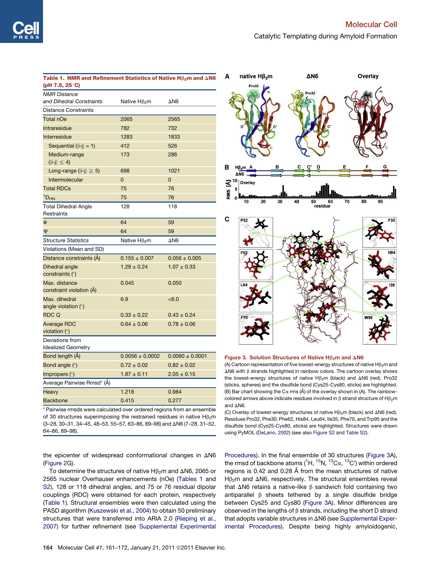| Table 1. NMR and Refinement Statistics of Native $H\beta_2$ m and $\Delta N6$<br>(pH 7.5, 25°C) |                          |                     |
|-------------------------------------------------------------------------------------------------|--------------------------|---------------------|
| <b>NMR</b> Distance                                                                             |                          |                     |
| and Dihedral Constraints                                                                        | Native Hβ <sub>2</sub> m | $\Delta$ N6         |
| <b>Distance Constraints</b>                                                                     |                          |                     |
| Total nOe                                                                                       | 2065                     | 2565                |
| Intraresidue                                                                                    | 782                      | 732                 |
| Interresidue                                                                                    | 1283                     | 1833                |
| Sequential ( $ i-j  = 1$ )                                                                      | 412                      | 526                 |
| Medium-range<br>$( i-j  \leq 4)$                                                                | 173                      | 286                 |
| Long-range ( $ i-j  \geq 5$ )                                                                   | 698                      | 1021                |
| Intermolecular                                                                                  | $\Omega$                 | $\Omega$            |
| <b>Total RDCs</b>                                                                               | 75                       | 76                  |
| $1D_{HN}$                                                                                       | 75                       | 76                  |
| <b>Total Dihedral Angle</b><br>Restraints                                                       | 128                      | 118                 |
| $\Phi$                                                                                          | 64                       | 59                  |
| Ψ                                                                                               | 64                       | 59                  |
| <b>Structure Statistics</b>                                                                     | Native H <sub>β2</sub> m | $\triangle$ N6      |
| Violations (Mean and SD)                                                                        |                          |                     |
| Distance constraints (A)                                                                        | $0.155 \pm 0.007$        | $0.056 \pm 0.005$   |
| Dihedral angle<br>constraints $(°)$                                                             | $1.29 \pm 0.24$          | $1.07 \pm 0.33$     |
| Max. distance<br>constraint violation (A)                                                       | 0.045                    | 0.050               |
| Max. dihedral<br>angle violation $(°)$                                                          | 6.9                      | < 6.0               |
| <b>RDC Q</b>                                                                                    | $0.33 \pm 0.22$          | $0.43 \pm 0.24$     |
| Average RDC<br>violation $(°)$                                                                  | $0.64 \pm 0.06$          | $0.78 \pm 0.06$     |
| Deviations from<br><b>Idealized Geometry</b>                                                    |                          |                     |
| Bond length (A)                                                                                 | $0.0056 \pm 0.0002$      | $0.0060 \pm 0.0001$ |
| Bond angle (°)                                                                                  | $0.72 \pm 0.02$          | $0.82 \pm 0.02$     |
| Impropers $(°)$                                                                                 | $1.87 \pm 0.11$          | $2.05 \pm 0.15$     |
| Average Pairwise Rmsd* (Å)                                                                      |                          |                     |
| Heavy                                                                                           | 1.218                    | 0.984               |
| <b>Backbone</b>                                                                                 | 0.415                    | 0.277               |
| * Reinvice rmode were calculated over erdered regions from an encomble                          |                          |                     |

\* Pairwise rmsds were calculated over ordered regions from an ensemble of 30 structures superimposing the restrained residues in native HB<sub>2</sub>m  $(3-28, 30-31, 34-45, 48-53, 55-57, 63-86, 89-98)$  and  $\Delta$ N6 (7-28, 31-52, 64–86, 89–98).

the epicenter of widespread conformational changes in  $\Delta$ N6 ([Figure 2G](#page-2-0)).

To determine the structures of native  $H\beta_2$ m and  $\Delta$ N6, 2065 or 2565 nuclear Overhauser enhancements (nOe) [\(Tables 1](#page-3-0) and [S2\)](#page-10-0), 128 or 118 dihedral angles, and 75 or 76 residual dipolar couplings (RDC) were obtained for each protein, respectively ([Table 1](#page-3-0)). Structural ensembles were then calculated using the PASD algorithm ([Kuszewski et al., 2004\)](#page-11-0) to obtain 50 preliminary structures that were transferred into ARIA 2.0 [\(Rieping et al.,](#page-11-0) [2007](#page-11-0)) for further refinement (see [Supplemental Experimental](#page-10-0)



#### Figure 3. Solution Structures of Native  $H\beta_2$ m and  $\Delta N6$

(A) Cartoon representation of five lowest-energy structures of native  $H\beta_2m$  and  $\Delta$ N6 with  $\beta$  strands highlighted in rainbow colors. The cartoon overlay shows the lowest-energy structures of native  $H\beta_2$ m (black) and  $\Delta N6$  (red). Pro32 (sticks, spheres) and the disulfide bond (Cys25-Cys80, sticks) are highlighted. (B) Bar chart showing the C $\alpha$  rms (Å) of the overlay shown in (A). The rainbowcolored arrows above indicate residues involved in  $\beta$  strand structure of  $H\beta_2m$ and  $\triangle$ N6.

(C) Overlay of lowest-energy structures of native  $H\beta_2$ m (black) and  $\Delta N6$  (red). Residues Pro32, Phe30, Phe62, His84, Leu64, Ile35, Phe70, and Trp95 and the disulfide bond (Cys25-Cys80, sticks) are highlighted. Structures were drawn using PyMOL ([DeLano, 2002](#page-10-0)) (see also [Figure S2](#page-10-0) and [Table S2\)](#page-10-0).

[Procedures\)](#page-10-0). In the final ensemble of 30 structures ([Figure 3A](#page-3-0)), the rmsd of backbone atoms ( $^1$ H,  $^{15}$ N,  $^{13}$ C $\alpha$ ,  $^{13}$ C $^{\prime}$ ) within ordered regions is 0.42 and 0.28 Å from the mean structures of native  $H\beta_2$ m and  $\Delta$ N6, respectively. The structural ensembles reveal that  $\Delta$ N6 retains a native-like  $\beta$  sandwich fold containing two antiparallel  $\beta$  sheets tethered by a single disulfide bridge between Cys25 and Cys80 ([Figure 3A](#page-3-0)). Minor differences are observed in the lengths of  $\beta$  strands, including the short D strand that adopts variable structures in  $\Delta$ N6 (see [Supplemental Exper](#page-10-0)[imental Procedures\)](#page-10-0). Despite being highly amyloidogenic,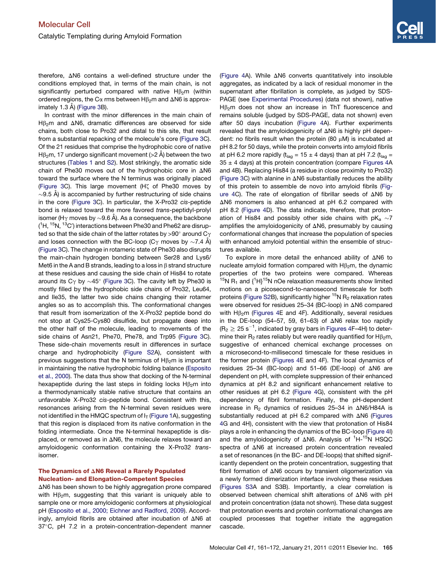<span id="page-5-0"></span>therefore,  $\Delta$ N6 contains a well-defined structure under the conditions employed that, in terms of the main chain, is not significantly perturbed compared with native  $H\beta_2m$  (within ordered regions, the C $\alpha$  rms between H $\beta$ <sub>2</sub>m and  $\Delta$ N6 is approx-imately 1.3 Å) ([Figure 3B](#page-3-0)).

In contrast with the minor differences in the main chain of H $\beta$ <sub>2</sub>m and  $\Delta$ N6, dramatic differences are observed for side chains, both close to Pro32 and distal to this site, that result from a substantial repacking of the molecule's core ([Figure 3C](#page-3-0)). Of the 21 residues that comprise the hydrophobic core of native H $\beta_2$ m, 17 undergo significant movement (>2 Å) between the two structures ([Tables 1](#page-3-0) and [S2](#page-10-0)). Most strikingly, the aromatic side chain of Phe30 moves out of the hydrophobic core in  $\Delta$ N6 toward the surface where the N terminus was originally placed [\(Figure 3C](#page-3-0)). This large movement (Hz of Phe30 moves by  $\sim$ 9.5 Å) is accompanied by further restructuring of side chains in the core [\(Figure 3](#page-3-0)C). In particular, the X-Pro32 *cis*-peptide bond is relaxed toward the more favored *trans*-peptidyl-prolyl isomer (H $\gamma$  moves by  ${\sim}9.6$  Å). As a consequence, the backbone  $(^1$ H,  $^{15}$ N,  $^{13}$ C') interactions between Phe30 and Phe62 are disrupted so that the side chain of the latter rotates by >90 $^{\circ}$  around C $\gamma$ and loses connection with the BC-loop (C $\gamma$  moves by  ${\sim}7.4$  Å) [\(Figure 3](#page-3-0)C). The change in rotameric state of Phe30 also disrupts the main-chain hydrogen bonding between Ser28 and Lys6/ Met6 in the A and B strands, leading to a loss in  $\beta$  strand structure at these residues and causing the side chain of His84 to rotate around its C $\gamma$  by  $\sim$ 45° [\(Figure 3](#page-3-0)C). The cavity left by Phe30 is mostly filled by the hydrophobic side chains of Pro32, Leu64, and Ile35, the latter two side chains changing their rotamer angles so as to accomplish this. The conformational changes that result from isomerization of the X-Pro32 peptide bond do not stop at Cys25-Cys80 disulfide, but propagate deep into the other half of the molecule, leading to movements of the side chains of Asn21, Phe70, Phe78, and Trp95 [\(Figure 3C](#page-3-0)). These side-chain movements result in differences in surface charge and hydrophobicity ([Figure S2A](#page-10-0)), consistent with previous suggestions that the N terminus of  $H\beta_2m$  is important in maintaining the native hydrophobic folding balance [\(Esposito](#page-10-0) [et al., 2000](#page-10-0)). The data thus show that docking of the N-terminal hexapeptide during the last steps in folding locks  $H\beta_2m$  into a thermodynamically stable native structure that contains an unfavorable X-Pro32 *cis*-peptide bond. Consistent with this, resonances arising from the N-terminal seven residues were not identified in the HMQC spectrum of  $I<sub>T</sub>$  [\(Figure 1](#page-1-0)A), suggesting that this region is displaced from its native conformation in the folding intermediate. Once the N-terminal hexapeptide is displaced, or removed as in  $\Delta$ N6, the molecule relaxes toward an amyloidogenic conformation containing the X-Pro32 *trans*isomer.

#### The Dynamics of  $\Delta$ N6 Reveal a Rarely Populated Nucleation- and Elongation-Competent Species

 $\Delta$ N6 has been shown to be highly aggregation prone compared with  $H\beta_2$ m, suggesting that this variant is uniquely able to sample one or more amyloidogenic conformers at physiological pH [\(Esposito et al., 2000; Eichner and Radford, 2009](#page-10-0)). Accordingly, amyloid fibrils are obtained after incubation of  $\Delta N6$  at 37°C, pH 7.2 in a protein-concentration-dependent manner

(Figure 4A). While  $\Delta$ N6 converts quantitatively into insoluble aggregates, as indicated by a lack of residual monomer in the supernatant after fibrillation is complete, as judged by SDS-PAGE (see [Experimental Procedures](#page-10-0)) (data not shown), native  $H\beta_2$ m does not show an increase in ThT fluorescence and remains soluble (judged by SDS-PAGE, data not shown) even after 50 days incubation (Figure 4A). Further experiments revealed that the amyloidogenicity of  $\Delta$ N6 is highly pH dependent: no fibrils result when the protein (80  $\mu$ M) is incubated at pH 8.2 for 50 days, while the protein converts into amyloid fibrils at pH 6.2 more rapidly ( $t_{lag}$  = 15  $\pm$  4 days) than at pH 7.2 ( $t_{lag}$  =  $35 \pm 4$  days) at this protein concentration (compare Figures 4A and 4B). Replacing His84 (a residue in close proximity to Pro32) [\(Figure 3](#page-3-0)C) with alanine in  $\Delta N6$  substantially reduces the ability of this protein to assemble de novo into amyloid fibrils (Figure 4C). The rate of elongation of fibrillar seeds of  $\Delta$ N6 by  $\Delta$ N6 monomers is also enhanced at pH 6.2 compared with pH 8.2 (Figure 4D). The data indicate, therefore, that protonation of His84 and possibly other side chains with  $pK_a \sim 7$ amplifies the amyloidogenicity of  $\Delta$ N6, presumably by causing conformational changes that increase the population of species with enhanced amyloid potential within the ensemble of structures available.

To explore in more detail the enhanced ability of  $\Delta N6$  to nucleate amyloid formation compared with  $H\beta_2$ m, the dynamic properties of the two proteins were compared. Whereas <sup>15</sup>N R<sub>1</sub> and  $\{$ <sup>1</sup>H $\}$ <sup>15</sup>N nOe relaxation measurements show limited motions on a picosecond-to-nanosecond timescale for both proteins [\(Figure S2B](#page-10-0)), significantly higher  ${}^{15}N$  R<sub>2</sub> relaxation rates were observed for residues 25-34 (BC-loop) in ΔN6 compared with  $H\beta_2$ m (Figures 4E and 4F). Additionally, several residues in the DE-loop (54-57, 59, 61-63) of  $\Delta N6$  relax too rapidly (R $_2 \geq$  25 s $^{-1}$ , indicated by gray bars in Figures 4F–4H) to determine their  $R_2$  rates reliably but were readily quantified for  $H\beta_2m$ , suggestive of enhanced chemical exchange processes on a microsecond-to-millisecond timescale for these residues in the former protein (Figures 4E and 4F). The local dynamics of residues 25-34 (BC-loop) and 51-66 (DE-loop) of  $\triangle$ N6 are dependent on pH, with complete suppression of their enhanced dynamics at pH 8.2 and significant enhancement relative to other residues at pH 6.2 (Figure 4G), consistent with the pH dependency of fibril formation. Finally, the pH-dependent increase in  $R_2$  dynamics of residues 25-34 in  $\triangle$ N6/H84A is substantially reduced at pH 6.2 compared with  $\triangle$ N6 (Figures 4G and 4H), consistent with the view that protonation of His84 plays a role in enhancing the dynamics of the BC-loop (Figure 4I) and the amyloidogenicity of  $\Delta$ N6. Analysis of  $^1$ H- $^{15}$ N HSQC spectra of  $\Delta$ N6 at increased protein concentration revealed a set of resonances (in the BC- and DE-loops) that shifted significantly dependent on the protein concentration, suggesting that fibril formation of  $\Delta$ N6 occurs by transient oligomerization via a newly formed dimerization interface involving these residues [\(Figures S3A](#page-10-0) and S3B). Importantly, a clear correlation is observed between chemical shift alterations of  $\Delta N6$  with pH and protein concentration (data not shown). These data suggest that protonation events and protein conformational changes are coupled processes that together initiate the aggregation cascade.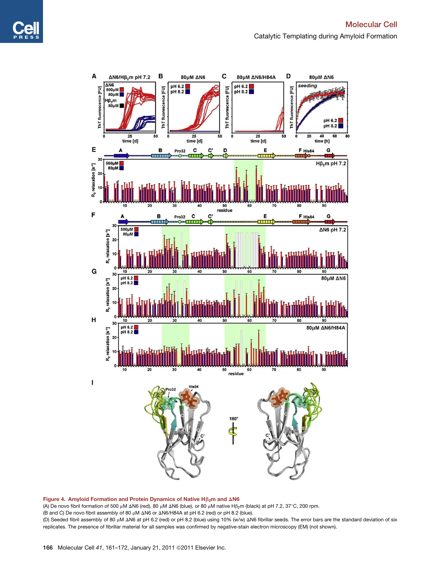

Figure 4. Amyloid Formation and Protein Dynamics of Native  $H\beta_2$ m and  $\Delta N6$ (A) De novo fibril formation of 500 µM  $\Delta$ N6 (red), 80 µM  $\Delta$ N6 (blue), or 80 µM native H $\beta_2$ m (black) at pH 7.2, 37°C, 200 rpm.

(B and C) De novo fibril assembly of 80 μM ΔN6 or ΔN6/H84A at pH 6.2 (red) or pH 8.2 (blue). (D) Seeded fibril assembly of 80 µM  $\Delta$ N6 at pH 6.2 (red) or pH 8.2 (blue) using 10% (w/w)  $\Delta$ N6 fibrillar seeds. The error bars are the standard deviation of six replicates. The presence of fibrillar material for all samples was confirmed by negative-stain electron microscopy (EM) (not shown).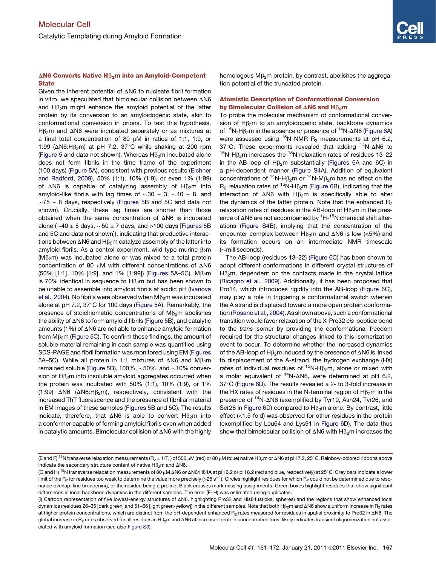#### <span id="page-7-0"></span> $\Delta$ N6 Converts Native H $\beta_2$ m into an Amyloid-Competent **State**

Given the inherent potential of  $\Delta N6$  to nucleate fibril formation in vitro, we speculated that bimolecular collision between  $\Delta N6$ and  $H\beta_2$ m might enhance the amyloid potential of the latter protein by its conversion to an amyloidogenic state, akin to conformational conversion in prions. To test this hypothesis, H $\beta$ <sub>2</sub>m and  $\Delta$ N6 were incubated separately or as mixtures at a final total concentration of 80  $\mu$ M in ratios of 1:1, 1:9, or 1:99 ( $\Delta$ N6:H $\beta$ <sub>2</sub>m) at pH 7.2, 37°C while shaking at 200 rpm (Figure 5 and data not shown). Whereas  $H\beta_2$ m incubated alone does not form fibrils in the time frame of the experiment (100 days) (Figure 5A), consistent with previous results ([Eichner](#page-10-0) [and Radford, 2009](#page-10-0)), 50% (1:1), 10% (1:9), or even 1% (1:99) of  $\Delta N6$  is capable of catalyzing assembly of H $\beta$ <sub>2</sub>m into amyloid-like fibrils with lag times of  $\sim 30 \pm 3$ ,  $\sim 40 \pm 8$ , and  $\sim$ 75  $\pm$  8 days, respectively (Figures 5B and 5C and data not shown). Crucially, these lag times are shorter than those obtained when the same concentration of  $\Delta N6$  is incubated alone ( $\sim$ 40 ± 5 days,  $\sim$ 50 ± 7 days, and >100 days [Figures 5B] and 5C and data not shown]), indicating that productive interactions between  $\Delta$ N6 and H $\beta$ <sub>2</sub>m catalyze assembly of the latter into amyloid fibrils. As a control experiment, wild-type murine  $\beta_2$ m  $(M\beta_2m)$  was incubated alone or was mixed to a total protein concentration of 80  $\mu$ M with different concentrations of  $\Delta$ N6 (50% [1:1], 10% [1:9], and 1% [1:99]) (Figures 5A-5C).  $M\beta_2$ m is 70% identical in sequence to  $H\beta_2$ m but has been shown to be unable to assemble into amyloid fibrils at acidic pH ([Ivanova](#page-11-0) [et al., 2004](#page-11-0)). No fibrils were observed when  $M\beta_2$ m was incubated alone at pH 7.2,  $37^{\circ}$ C for 100 days (Figure 5A). Remarkably, the presence of stoichiometric concentrations of  $M\beta_2$ m abolishes the ability of  $\Delta$ N6 to form amyloid fibrils (Figure 5B), and catalytic amounts (1%) of  $\Delta$ N6 are not able to enhance amyloid formation from  $M\beta_2$ m (Figure 5C). To confirm these findings, the amount of soluble material remaining in each sample was quantified using SDS-PAGE and fibril formation was monitored using EM (Figures 5A–5C). While all protein in 1:1 mixtures of  $\Delta N6$  and  $M\beta_2$ m remained soluble (Figure 5B), 100%,  $\sim$  50%, and  $\sim$  10% conversion of  $H\beta_2$ m into insoluble amyloid aggregates occurred when the protein was incubated with 50% (1:1), 10% (1:9), or 1% (1:99)  $\triangle$ N6 ( $\triangle$ N6:H $\beta$ <sub>2</sub>m), respectively, consistent with the increased ThT fluorescence and the presence of fibrillar material in EM images of these samples (Figures 5B and 5C). The results indicate, therefore, that  $\Delta N6$  is able to convert H $\beta_2$ m into a conformer capable of forming amyloid fibrils even when added in catalytic amounts. Bimolecular collision of  $\Delta N6$  with the highly

homologous  $M\beta_2$ m protein, by contrast, abolishes the aggregation potential of the truncated protein.

#### Atomistic Description of Conformational Conversion by Bimolecular Collision of  $\Delta N6$  and H $\beta_2$ m

To probe the molecular mechanism of conformational conversion of  $H\beta_2$ m to an amyloidogenic state, backbone dynamics of  $15N-H\beta_2m$  in the absence or presence of  $14N-M6$  [\(Figure 6A](#page-8-0)) were assessed using  $15N$  NMR R<sub>2</sub> measurements at pH 6.2, 37 $\degree$ C. These experiments revealed that adding  $^{14}N$ - $\triangle$ N6 to <sup>15</sup>N-H $\beta$ <sub>2</sub>m increases the <sup>15</sup>N relaxation rates of residues 13–22 in the AB-loop of  $H\beta_2$ m substantially ([Figures 6](#page-8-0)A and 6C) in a pH-dependent manner [\(Figure S4](#page-10-0)A). Addition of equivalent concentrations of <sup>14</sup>N-H $\beta$ <sub>2</sub>m or <sup>14</sup>N-M $\beta$ <sub>2</sub>m has no effect on the  $R_2$  relaxation rates of <sup>15</sup>N-H $\beta_2$ m [\(Figure 6](#page-8-0)B), indicating that the interaction of  $\Delta N6$  with H $\beta_2$ m is specifically able to alter the dynamics of the latter protein. Note that the enhanced  $R_2$ relaxation rates of residues in the AB-loop of  $H\beta_2$ m in the presence of  $\Delta$ N6 are not accompanied by  $^1$ H- $^{15}$ N chemical shift alterations [\(Figure S4](#page-10-0)B), implying that the concentration of the encounter complex between  $H\beta_2$ m and  $\Delta N6$  is low (<5%) and its formation occurs on an intermediate NMR timescale  $(\sim$ milliseconds).

The AB-loop (residues 13–22) [\(Figure 6](#page-8-0)C) has been shown to adopt different conformations in different crystal structures of  $H\beta_2$ m, dependent on the contacts made in the crystal lattice [\(Ricagno et al., 2009\)](#page-11-0). Additionally, it has been proposed that Pro14, which introduces rigidity into the AB-loop ([Figure 6C](#page-8-0)), may play a role in triggering a conformational switch wherein the A strand is displaced toward a more open protein conformation ([Rosano et al., 2004\)](#page-11-0). As shown above, such a conformational transition would favor relaxation of the X-Pro32 *cis*-peptide bond to the *trans*-isomer by providing the conformational freedom required for the structural changes linked to this isomerization event to occur. To determine whether the increased dynamics of the AB-loop of  $H\beta_2$ m induced by the presence of  $\Delta N6$  is linked to displacement of the A-strand, the hydrogen exchange (HX) rates of individual residues of  ${}^{15}N$ -H $\beta$ <sub>2</sub>m, alone or mixed with a molar equivalent of  $14N-\Delta N6$ , were determined at pH 6.2, 37°C ([Figure 6](#page-8-0)D). The results revealed a 2- to 3-fold increase in the HX rates of residues in the N-terminal region of  $H\beta_2$ m in the presence of <sup>14</sup>N- $\Delta$ N6 (exemplified by Tyr10, Asn24, Tyr26, and Ser28 in [Figure 6D](#page-8-0)) compared to  $H\beta_2$ m alone. By contrast, little effect (<1.5-fold) was observed for other residues in the protein (exemplified by Leu64 and Lys91 in [Figure 6](#page-8-0)D). The data thus show that bimolecular collision of  $\Delta$ N6 with H $\beta$ <sub>2</sub>m increases the

<sup>(</sup>E and F)<sup>15</sup>N transverse relaxation measurements (R<sub>2</sub> = 1/T<sub>2</sub>) of 500 µM (red) or 80 µM (blue) native H $\beta_2$ m or  $\Delta$ N6 at pH 7.2, 25°C. Rainbow-colored ribbons above indicate the secondary structure content of native  $H\beta_2$ m and  $\Delta N6$ .

<sup>(</sup>G and H) <sup>15</sup>N transverse relaxation measurements of 80 µM  $\Delta$ N6 or  $\Delta$ N6/H84A at pH 6.2 or pH 8.2 (red and blue, respectively) at 25°C. Grey bars indicate a lower limit of the R<sub>2</sub> for residues too weak to determine the value more precisely (>25 s<sup>-1</sup>). Circles highlight residues for which R<sub>2</sub> could not be determined due to resonance overlap, line broadening, or the residue being a proline. Black crosses mark missing assignments. Green boxes highlight residues that show significant differences in local backbone dynamics in the different samples. The error (E–H) was estimated using duplicates.

<sup>(</sup>I) Cartoon representation of five lowest-energy structures of DN6, highlighting Pro32 and His84 (sticks, spheres) and the regions that show enhanced local dynamics (residues 26-35 [dark green] and 51-66 [light green-yellow]) in the different samples. Note that both H $\beta_2$ m and  $\Delta$ N6 show a uniform increase in R<sub>2</sub> rates at higher protein concentrations, which are distinct from the pH-dependent enhanced R<sub>2</sub> rates measured for residues in spatial proximity to Pro32 in  $\Delta$ N6. The global increase in R<sub>2</sub> rates observed for all residues in H<sub>B2</sub>m and  $\Delta$ N6 at increased protein concentration most likely indicates transient oligomerization not associated with amyloid formation (see also [Figure S3\)](#page-10-0).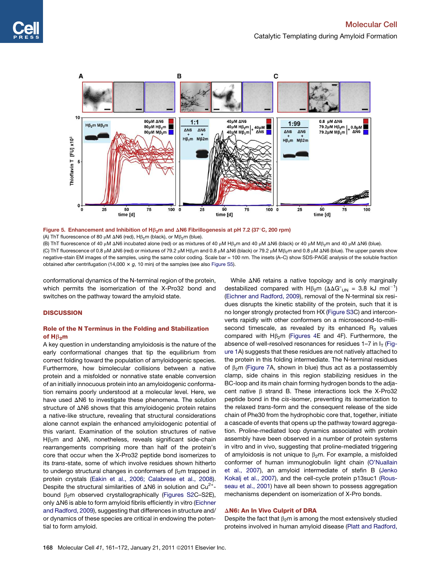<span id="page-8-0"></span>

Figure 5. Enhancement and Inhibition of H $\beta_2$ m and  $\Delta$ N6 Fibrillogenesis at pH 7.2 (37°C, 200 rpm) (A) ThT fluorescence of 80  $\mu$ M  $\Delta$ N6 (red), H $\beta$ <sub>2</sub>m (black), or M $\beta$ <sub>2</sub>m (blue).

(B) ThT fluorescence of 40 μM ΔN6 incubated alone (red) or as mixtures of 40 μM Hβ<sub>2</sub>m and 40 μM ΔN6 (black) or 40 μM Mβ<sub>2</sub>m and 40 μM ΔN6 (blue). (C) ThT fluorescence of 0.8 μM ΔN6 (red) or mixtures of 79.2 μM Hβ<sub>2</sub>m and 0.8 μM ΔN6 (black) or 79.2 μM Mβ<sub>2</sub>m and 0.8 μM ΔN6 (blue). The upper panels show negative-stain EM images of the samples, using the same color coding. Scale bar = 100 nm. The insets (A–C) show SDS-PAGE analysis of the soluble fraction obtained after centrifugation (14,000  $\times$  g, 10 min) of the samples (see also [Figure S5\)](#page-10-0).

conformational dynamics of the N-terminal region of the protein, which permits the isomerization of the X-Pro32 bond and switches on the pathway toward the amyloid state.

#### **DISCUSSION**

#### Role of the N Terminus in the Folding and Stabilization of  $H\beta_2m$

A key question in understanding amyloidosis is the nature of the early conformational changes that tip the equilibrium from correct folding toward the population of amyloidogenic species. Furthermore, how bimolecular collisions between a native protein and a misfolded or nonnative state enable conversion of an initially innocuous protein into an amyloidogenic conformation remains poorly understood at a molecular level. Here, we have used  $\Delta$ N6 to investigate these phenomena. The solution structure of  $\Delta$ N6 shows that this amyloidogenic protein retains a native-like structure, revealing that structural considerations alone cannot explain the enhanced amyloidogenic potential of this variant. Examination of the solution structures of native  $H\beta_2$ m and  $\Delta$ N6, nonetheless, reveals significant side-chain rearrangements comprising more than half of the protein's core that occur when the X-Pro32 peptide bond isomerizes to its *trans*-state, some of which involve residues shown hitherto to undergo structural changes in conformers of  $\beta_2$ m trapped in protein crystals ([Eakin et al., 2006; Calabrese et al., 2008](#page-10-0)). Despite the structural similarities of  $\Delta$ N6 in solution and Cu<sup>2+</sup>bound  $\beta_2$ m observed crystallographically [\(Figures S2C](#page-10-0)–S2E), only  $\Delta$ N6 is able to form amyloid fibrils efficiently in vitro [\(Eichner](#page-10-0) [and Radford, 2009](#page-10-0)), suggesting that differences in structure and/ or dynamics of these species are critical in endowing the potential to form amyloid.

While  $\Delta$ N6 retains a native topology and is only marginally destabilized compared with  $H\beta_2$ m ( $\Delta\Delta G^{\circ}$ <sub>UN</sub> = 3.8 kJ mol<sup>-1</sup>) [\(Eichner and Radford, 2009\)](#page-10-0), removal of the N-terminal six residues disrupts the kinetic stability of the protein, such that it is no longer strongly protected from HX ([Figure S3](#page-10-0)C) and interconverts rapidly with other conformers on a microsecond-to-millisecond timescale, as revealed by its enhanced  $R_2$  values compared with  $H\beta_2$ m ([Figures 4](#page-5-0)E and 4F). Furthermore, the absence of well-resolved resonances for residues  $1-7$  in  $I<sub>T</sub>$  [\(Fig](#page-1-0)[ure 1A](#page-1-0)) suggests that these residues are not natively attached to the protein in this folding intermediate. The N-terminal residues of  $\beta_2$ m ([Figure 7](#page-9-0)A, shown in blue) thus act as a postassembly clamp, side chains in this region stabilizing residues in the BC-loop and its main chain forming hydrogen bonds to the adjacent native  $\beta$  strand B. These interactions lock the X-Pro32 peptide bond in the *cis*-isomer, preventing its isomerization to the relaxed *trans*-form and the consequent release of the side chain of Phe30 from the hydrophobic core that, together, initiate a cascade of events that opens up the pathway toward aggregation. Proline-mediated loop dynamics associated with protein assembly have been observed in a number of protein systems in vitro and in vivo, suggesting that proline-mediated triggering of amyloidosis is not unique to  $\beta_2$ m. For example, a misfolded conformer of human immunoglobulin light chain ([O'Nuallain](#page-11-0) [et al., 2007\)](#page-11-0), an amyloid intermediate of stefin B [\(Jenko](#page-11-0) [Kokalj et al., 2007](#page-11-0)), and the cell-cycle protein p13suc1 [\(Rous](#page-11-0)[seau et al., 2001](#page-11-0)) have all been shown to possess aggregation mechanisms dependent on isomerization of X-Pro bonds.

#### $\Delta$ N6: An In Vivo Culprit of DRA

Despite the fact that  $\beta_2$ m is among the most extensively studied proteins involved in human amyloid disease ([Platt and Radford,](#page-11-0)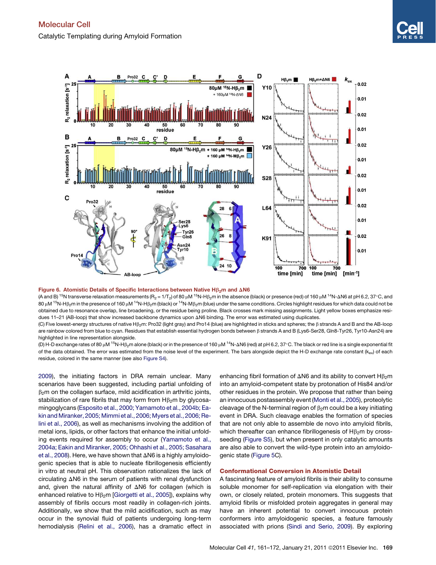<span id="page-9-0"></span>

#### Figure 6. Atomistic Details of Specific Interactions between Native H $\beta_2$ m and  $\Delta N6$

(A and B) <sup>15</sup>N transverse relaxation measurements (R<sub>2</sub> = 1/T<sub>2</sub>) of 80 µM <sup>15</sup>N-Hβ<sub>2</sub>m in the absence (black) or presence (red) of 160 µM <sup>14</sup>N-ΔN6 at pH 6.2, 37°C, and 80  $\mu$ M <sup>15</sup>N-Hß<sub>2</sub>m in the presence of 160  $\mu$ M <sup>14</sup>N-Hß<sub>2</sub>m (black) or <sup>14</sup>N-Mß<sub>2</sub>m (blue) under the same conditions. Circles highlight residues for which data could not be obtained due to resonance overlap, line broadening, or the residue being proline. Black crosses mark missing assignments. Light yellow boxes emphasize residues 11-21 (AB-loop) that show increased backbone dynamics upon ΔN6 binding. The error was estimated using duplicates.

(C) Five lowest-energy structures of native H $\beta_2$ m: Pro32 (light gray) and Pro14 (blue) are highlighted in sticks and spheres; the  $\beta$  strands A and B and the AB-loop are rainbow colored from blue to cyan. Residues that establish essential hydrogen bonds between  $\beta$  strands A and B (Lys6-Ser28, Gln8-Tyr26, Tyr10-Asn24) are highlighted in line representation alongside.

(D) H-D exchange rates of 80 µM <sup>15</sup>N-Hß<sub>2</sub>m alone (black) or in the presence of 160 µM <sup>14</sup>N-AN6 (red) at pH 6.2, 37°C. The black or red line is a single exponential fit of the data obtained. The error was estimated from the noise level of the experiment. The bars alongside depict the H-D exchange rate constant ( $k_{ex}$ ) of each residue, colored in the same manner (see also [Figure S4](#page-10-0)).

[2009\)](#page-11-0), the initiating factors in DRA remain unclear. Many scenarios have been suggested, including partial unfolding of  $\beta_2$ m on the collagen surface, mild acidification in arthritic joints, stabilization of rare fibrils that may form from  $H\beta_2$ m by glycosamingoglycans [\(Esposito et al., 2000; Yamamoto et al., 2004b; Ea](#page-10-0)[kin and Miranker, 2005; Mimmi et al., 2006; Myers et al., 2006; Re](#page-10-0)[lini et al., 2006](#page-10-0)), as well as mechanisms involving the addition of metal ions, lipids, or other factors that enhance the initial unfolding events required for assembly to occur ([Yamamoto et al.,](#page-11-0) [2004a; Eakin and Miranker, 2005; Ohhashi et al., 2005; Sasahara](#page-11-0) [et al., 2008\)](#page-11-0). Here, we have shown that  $\Delta$ N6 is a highly amyloidogenic species that is able to nucleate fibrillogenesis efficiently in vitro at neutral pH. This observation rationalizes the lack of circulating  $\Delta$ N6 in the serum of patients with renal dysfunction and, given the natural affinity of  $\Delta N6$  for collagen (which is enhanced relative to  $H\beta_2$ m [[Giorgetti et al., 2005](#page-11-0)]), explains why assembly of fibrils occurs most readily in collagen-rich joints. Additionally, we show that the mild acidification, such as may occur in the synovial fluid of patients undergoing long-term hemodialysis ([Relini et al., 2006\)](#page-11-0), has a dramatic effect in enhancing fibril formation of  $\Delta N6$  and its ability to convert H $\beta_2$ m into an amyloid-competent state by protonation of His84 and/or other residues in the protein. We propose that rather than being an innocuous postassembly event [\(Monti et al., 2005](#page-11-0)), proteolytic cleavage of the N-terminal region of  $\beta_2$ m could be a key initiating event in DRA. Such cleavage enables the formation of species that are not only able to assemble de novo into amyloid fibrils, which thereafter can enhance fibrillogenesis of  $H\beta_2$ m by crossseeding ([Figure S5\)](#page-10-0), but when present in only catalytic amounts are also able to convert the wild-type protein into an amyloidogenic state ([Figure 5](#page-7-0)C).

#### Conformational Conversion in Atomistic Detail

A fascinating feature of amyloid fibrils is their ability to consume soluble monomer for self-replication via elongation with their own, or closely related, protein monomers. This suggests that amyloid fibrils or misfolded protein aggregates in general may have an inherent potential to convert innocuous protein conformers into amyloidogenic species, a feature famously associated with prions [\(Sindi and Serio, 2009](#page-11-0)). By exploring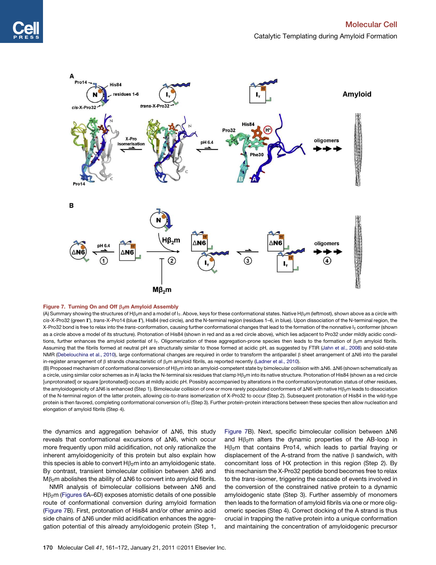<span id="page-10-0"></span>

#### Figure 7. Turning On and Off  $\beta_2$ m Amyloid Assembly

(A) Summary showing the structures of H $\beta_2$ m and a model of I<sub>T</sub>. Above, keys for these conformational states. Native H $\beta_2$ m (leftmost), shown above as a circle with cis-X-Pro32 (green T), *trans-X-Pro14* (blue T), His84 (red circle), and the N-terminal region (residues 1–6, in blue). Upon dissociation of the N-terminal region, the X-Pro32 bond is free to relax into the *trans*-conformation, causing further conformational changes that lead to the formation of the nonnative I<sub>T</sub> conformer (shown as a circle above a model of its structure). Protonation of His84 (shown in red and as a red circle above), which lies adjacent to Pro32 under mildly acidic conditions, further enhances the amyloid potential of  $I<sub>T</sub>$ . Oligomerization of these aggregation-prone species then leads to the formation of  $\beta_2$ m amyloid fibrils. Assuming that the fibrils formed at neutral pH are structurally similar to those formed at acidic pH, as suggested by FTIR [\(Jahn et al., 2008\)](#page-11-0) and solid-state NMR (Debelouchina et al., 2010), large conformational changes are required in order to transform the antiparallel  $\beta$  sheet arrangement of  $\Delta$ N6 into the parallel in-register arrangement of  $\beta$  strands characteristic of  $\beta_2$ m amyloid fibrils, as reported recently ([Ladner et al., 2010](#page-11-0)).

(B) Proposed mechanism of conformational conversion of Hb2m into an amyloid-competent state by bimolecular collision with DN6. DN6 (shown schematically as a circle, using similar color schemes as in A) lacks the N-terminal six residues that clamp H $\beta_2$ m into its native structure. Protonation of His84 (shown as a red circle [unprotonated] or square [protonated]) occurs at mildly acidic pH. Possibly accompanied by alterations in the conformation/protonation status of other residues, the amyloidogenicity of  $\Delta$ N6 is enhanced (Step 1). Bimolecular collision of one or more rarely populated conformers of  $\Delta$ N6 with native H $\beta_2$ m leads to dissociation of the N-terminal region of the latter protein, allowing *cis*-to-*trans* isomerization of X-Pro32 to occur (Step 2). Subsequent protonation of His84 in the wild-type protein is then favored, completing conformational conversion of I<sub>T</sub> (Step 3). Further protein-protein interactions between these species then allow nucleation and elongation of amyloid fibrils (Step 4).

the dynamics and aggregation behavior of  $\Delta$ N6, this study reveals that conformational excursions of  $\Delta$ N6, which occur more frequently upon mild acidification, not only rationalize the inherent amyloidogenicity of this protein but also explain how this species is able to convert  $H\beta_2$ m into an amyloidogenic state. By contrast, transient bimolecular collision between  $\Delta$ N6 and  $M\beta_2$ m abolishes the ability of  $\Delta N6$  to convert into amyloid fibrils.

NMR analysis of bimolecular collisions between  $\Delta$ N6 and  $H\beta_2$ m [\(Figures 6](#page-8-0)A–6D) exposes atomistic details of one possible route of conformational conversion during amyloid formation ([Figure 7B](#page-9-0)). First, protonation of His84 and/or other amino acid side chains of  $\Delta$ N6 under mild acidification enhances the aggregation potential of this already amyloidogenic protein (Step 1,

[Figure 7](#page-9-0)B). Next, specific bimolecular collision between  $\Delta$ N6 and  $H\beta_2$ m alters the dynamic properties of the AB-loop in  $H\beta_2$ m that contains Pro14, which leads to partial fraying or displacement of the A-strand from the native  $\beta$  sandwich, with concomitant loss of HX protection in this region (Step 2). By this mechanism the X-Pro32 peptide bond becomes free to relax to the *trans*-isomer, triggering the cascade of events involved in the conversion of the constrained native protein to a dynamic amyloidogenic state (Step 3). Further assembly of monomers then leads to the formation of amyloid fibrils via one or more oligomeric species (Step 4). Correct docking of the A strand is thus crucial in trapping the native protein into a unique conformation and maintaining the concentration of amyloidogenic precursor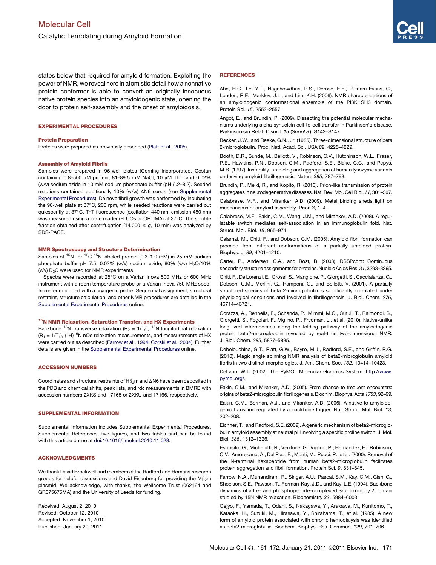<span id="page-11-0"></span>states below that required for amyloid formation. Exploiting the power of NMR, we reveal here in atomistic detail how a nonnative protein conformer is able to convert an originally innocuous native protein species into an amyloidogenic state, opening the door to protein self-assembly and the onset of amyloidosis.

#### EXPERIMENTAL PROCEDURES

#### Protein Preparation

Proteins were prepared as previously described (Platt et al., 2005).

#### Assembly of Amyloid Fibrils

Samples were prepared in 96-well plates (Corning Incorporated, Costar) containing 0.8-500  $\mu$ M protein, 81-89.5 mM NaCl, 10  $\mu$ M ThT, and 0.02% (w/v) sodium azide in 10 mM sodium phosphate buffer (pH 6.2–8.2). Seeded reactions contained additionally 10% (w/w)  $\Delta N6$  seeds (see [Supplemental](#page-10-0) [Experimental Procedures\)](#page-10-0). De novo fibril growth was performed by incubating the 96-well plate at  $37^{\circ}$ C, 200 rpm, while seeded reactions were carried out quiescently at 37°C. ThT fluorescence (excitation 440 nm, emission 480 nm) was measured using a plate reader (FLUOstar OPTIMA) at 37°C. The soluble fraction obtained after centrifugation (14,000  $\times$  g, 10 min) was analyzed by SDS-PAGE.

#### NMR Spectroscopy and Structure Determination

Samples of <sup>15</sup>N- or <sup>13</sup>C-<sup>15</sup>N-labeled protein (0.3-1.0 mM) in 25 mM sodium phosphate buffer pH 7.5, 0.02% (w/v) sodium azide, 90% (v/v)  $H<sub>2</sub>O/10%$ (v/v) D<sub>2</sub>O were used for NMR experiments.

Spectra were recorded at 25°C on a Varian Inova 500 MHz or 600 MHz instrument with a room temperature probe or a Varian Inova 750 MHz spectrometer equipped with a cryogenic probe. Sequential assignment, structural restraint, structure calculation, and other NMR procedures are detailed in the [Supplemental Experimental Procedures](#page-10-0) online.

#### <sup>15</sup>N NMR Relaxation, Saturation Transfer, and HX Experiments

Backbone <sup>15</sup>N transverse relaxation (R<sub>2</sub> = 1/T<sub>2</sub>), <sup>15</sup>N longitudinal relaxation  $(R_1 = 1/T_1)$ ,  $\{{}^1H\}^{15}N$  nOe relaxation measurements, and measurements of HX were carried out as described [\(Farrow et al., 1994; Gorski et al., 2004\)](#page-10-0). Further details are given in the [Supplemental Experimental Procedures](#page-10-0) online.

#### ACCESSION NUMBERS

Coordinates and structural restraints of  $H\beta_2$ m and  $\Delta N6$  have been deposited in the PDB and chemical shifts, peak lists, and rdc measurements in BMRB with accession numbers 2XKS and 17165 or 2XKU and 17166, respectively.

#### SUPPLEMENTAL INFORMATION

Supplemental Information includes Supplemental Experimental Procedures, Supplemental References, five figures, and two tables and can be found with this article online at [doi:10.1016/j.molcel.2010.11.028.](http://dx.doi.org/doi:10.1016/j.molcel.2010.11.028)

#### ACKNOWLEDGMENTS

We thank David Brockwell and members of the Radford and Homans research groups for helpful discussions and David Eisenberg for providing the  $M\beta_2m$ plasmid. We acknowledge, with thanks, the Wellcome Trust (062164 and GR075675MA) and the University of Leeds for funding.

Received: August 2, 2010 Revised: October 12, 2010 Accepted: November 1, 2010 Published: January 20, 2011

#### REFERENCES

Ahn, H.C., Le, Y.T., Nagchowdhuri, P.S., Derose, E.F., Putnam-Evans, C., London, R.E., Markley, J.L., and Lim, K.H. (2006). NMR characterizations of an amyloidogenic conformational ensemble of the PI3K SH3 domain. Protein Sci. *15*, 2552–2557.

Angot, E., and Brundin, P. (2009). Dissecting the potential molecular mechanisms underlying alpha-synuclein cell-to-cell transfer in Parkinson's disease. Parkinsonism Relat. Disord. *15* (*Suppl 3* ), S143–S147.

Becker, J.W., and Reeke, G.N., Jr. (1985). Three-dimensional structure of beta 2-microglobulin. Proc. Natl. Acad. Sci. USA *82*, 4225–4229.

Booth, D.R., Sunde, M., Bellotti, V., Robinson, C.V., Hutchinson, W.L., Fraser, P.E., Hawkins, P.N., Dobson, C.M., Radford, S.E., Blake, C.C., and Pepys, M.B. (1997). Instability, unfolding and aggregation of human lysozyme variants underlying amyloid fibrillogenesis. Nature *385*, 787–793.

Brundin, P., Melki, R., and Kopito, R. (2010). Prion-like transmission of protein aggregates in neurodegenerative diseases. Nat. Rev. Mol. Cell Biol. *11*, 301–307.

Calabrese, M.F., and Miranker, A.D. (2009). Metal binding sheds light on mechanisms of amyloid assembly. Prion *3*, 1–4.

Calabrese, M.F., Eakin, C.M., Wang, J.M., and Miranker, A.D. (2008). A regulatable switch mediates self-association in an immunoglobulin fold. Nat. Struct. Mol. Biol. *15*, 965–971.

Calamai, M., Chiti, F., and Dobson, C.M. (2005). Amyloid fibril formation can proceed from different conformations of a partially unfolded protein. Biophys. J. *89*, 4201–4210.

Carter, P., Andersen, C.A., and Rost, B. (2003). DSSPcont: Continuous secondary structure assignmentsfor proteins. NucleicAcids Res.*31*, 3293–3295.

Chiti, F., De Lorenzi, E., Grossi, S., Mangione, P., Giorgetti, S., Caccialanza, G., Dobson, C.M., Merlini, G., Ramponi, G., and Bellotti, V. (2001). A partially structured species of beta 2-microglobulin is significantly populated under physiological conditions and involved in fibrillogenesis. J. Biol. Chem. *276*, 46714–46721.

Corazza, A., Rennella, E., Schanda, P., Mimmi, M.C., Cutuil, T., Raimondi, S., Giorgetti, S., Fogolari, F., Viglino, P., Frydman, L., et al. (2010). Native-unlike long-lived intermediates along the folding pathway of the amyloidogenic protein beta2-microglobulin revealed by real-time two-dimensional NMR. J. Biol. Chem. *285*, 5827–5835.

Debelouchina, G.T., Platt, G.W., Bayro, M.J., Radford, S.E., and Griffin, R.G. (2010). Magic angle spinning NMR analysis of beta2-microglobulin amyloid fibrils in two distinct morphologies. J. Am. Chem. Soc. *132*, 10414–10423.

DeLano, W.L. (2002). The PyMOL Molecular Graphics System. [http://www.](http://www.pymol.org/) [pymol.org/.](http://www.pymol.org/)

Eakin, C.M., and Miranker, A.D. (2005). From chance to frequent encounters: origins of beta2-microglobulin fibrillogenesis. Biochim. Biophys. Acta *1753*, 92–99.

Eakin, C.M., Berman, A.J., and Miranker, A.D. (2006). A native to amyloidogenic transition regulated by a backbone trigger. Nat. Struct. Mol. Biol. *13*, 202–208.

Eichner, T., and Radford, S.E. (2009). A generic mechanism of beta2-microglobulin amyloid assembly at neutral pH involving a specific proline switch. J. Mol. Biol. *386*, 1312–1326.

Esposito, G., Michelutti, R., Verdone, G., Viglino, P., Hernandez, H., Robinson, C.V., Amoresano, A., Dal Piaz, F., Monti, M., Pucci, P., et al. (2000). Removal of the N-terminal hexapeptide from human beta2-microglobulin facilitates protein aggregation and fibril formation. Protein Sci. *9*, 831–845.

Farrow, N.A., Muhandiram, R., Singer, A.U., Pascal, S.M., Kay, C.M., Gish, G., Shoelson, S.E., Pawson, T., Forman-Kay, J.D., and Kay, L.E. (1994). Backbone dynamics of a free and phosphopeptide-complexed Src homology 2 domain studied by 15N NMR relaxation. Biochemistry *33*, 5984–6003.

Gejyo, F., Yamada, T., Odani, S., Nakagawa, Y., Arakawa, M., Kunitomo, T., Kataoka, H., Suzuki, M., Hirasawa, Y., Shirahama, T., et al. (1985). A new form of amyloid protein associated with chronic hemodialysis was identified as beta2-microglobulin. Biochem. Biophys. Res. Commun. *129*, 701–706.